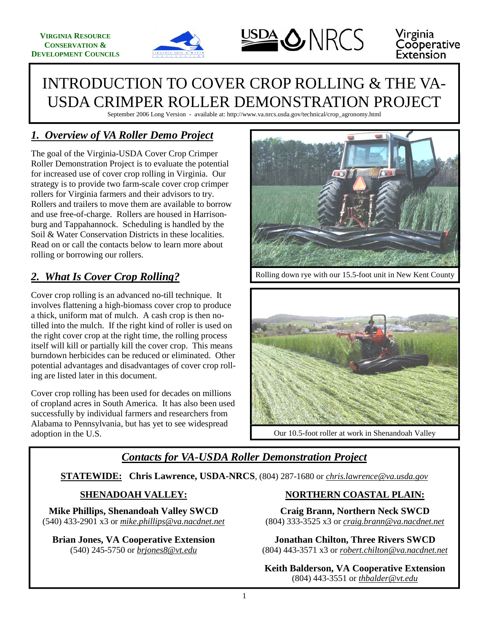





#### Virginia **Cooperative** Extension

# INTRODUCTION TO COVER CROP ROLLING & THE VA-USDA CRIMPER ROLLER DEMONSTRATION PROJECT

September 2006 Long Version - available at: http://www.va.nrcs.usda.gov/technical/crop\_agronomy.html

### *1. Overview of VA Roller Demo Project*

The goal of the Virginia-USDA Cover Crop Crimper Roller Demonstration Project is to evaluate the potential for increased use of cover crop rolling in Virginia. Our strategy is to provide two farm-scale cover crop crimper rollers for Virginia farmers and their advisors to try. Rollers and trailers to move them are available to borrow and use free-of-charge. Rollers are housed in Harrisonburg and Tappahannock. Scheduling is handled by the Soil & Water Conservation Districts in these localities. Read on or call the contacts below to learn more about rolling or borrowing our rollers.

### *2. What Is Cover Crop Rolling?*

Cover crop rolling is an advanced no-till technique. It involves flattening a high-biomass cover crop to produce a thick, uniform mat of mulch. A cash crop is then notilled into the mulch. If the right kind of roller is used on the right cover crop at the right time, the rolling process itself will kill or partially kill the cover crop. This means burndown herbicides can be reduced or eliminated. Other potential advantages and disadvantages of cover crop rolling are listed later in this document.

Cover crop rolling has been used for decades on millions of cropland acres in South America. It has also been used successfully by individual farmers and researchers from Alabama to Pennsylvania, but has yet to see widespread adoption in the U.S.



Rolling down rye with our 15.5-foot unit in New Kent County



Our 10.5-foot roller at work in Shenandoah Valley

#### *Contacts for VA-USDA Roller Demonstration Project*

**STATEWIDE: Chris Lawrence, USDA-NRCS**, (804) 287-1680 or *chris.lawrence@va.usda.gov*

#### **SHENADOAH VALLEY:**

**Mike Phillips, Shenandoah Valley SWCD**  (540) 433-2901 x3 or *mike.phillips@va.nacdnet.net*

**Brian Jones, VA Cooperative Extension**  (540) 245-5750 or *brjones8@vt.edu*

#### **NORTHERN COASTAL PLAIN:**

**Craig Brann, Northern Neck SWCD**  (804) 333-3525 x3 or *craig.brann@va.nacdnet.net*

**Jonathan Chilton, Three Rivers SWCD**  (804) 443-3571 x3 or *robert.chilton@va.nacdnet.net*

**Keith Balderson, VA Cooperative Extension**  (804) 443-3551 or *thbalder@vt.edu*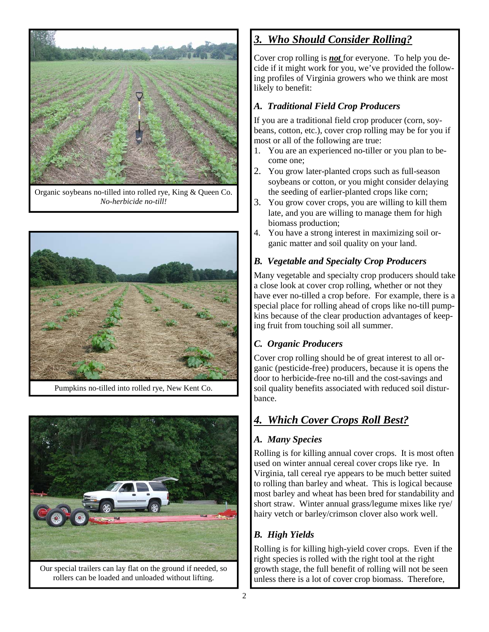

Organic soybeans no-tilled into rolled rye, King & Queen Co. *No-herbicide no-till!* 



Pumpkins no-tilled into rolled rye, New Kent Co.



Our special trailers can lay flat on the ground if needed, so rollers can be loaded and unloaded without lifting.

### *3. Who Should Consider Rolling?*

Cover crop rolling is *not* for everyone. To help you decide if it might work for you, we've provided the following profiles of Virginia growers who we think are most likely to benefit:

#### *A. Traditional Field Crop Producers*

If you are a traditional field crop producer (corn, soybeans, cotton, etc.), cover crop rolling may be for you if most or all of the following are true:

- 1. You are an experienced no-tiller or you plan to become one;
- 2. You grow later-planted crops such as full-season soybeans or cotton, or you might consider delaying the seeding of earlier-planted crops like corn;
- 3. You grow cover crops, you are willing to kill them late, and you are willing to manage them for high biomass production;
- 4. You have a strong interest in maximizing soil organic matter and soil quality on your land.

#### *B. Vegetable and Specialty Crop Producers*

Many vegetable and specialty crop producers should take a close look at cover crop rolling, whether or not they have ever no-tilled a crop before. For example, there is a special place for rolling ahead of crops like no-till pumpkins because of the clear production advantages of keeping fruit from touching soil all summer.

#### *C. Organic Producers*

Cover crop rolling should be of great interest to all organic (pesticide-free) producers, because it is opens the door to herbicide-free no-till and the cost-savings and soil quality benefits associated with reduced soil disturbance.

### *4. Which Cover Crops Roll Best?*

#### *A. Many Species*

Rolling is for killing annual cover crops. It is most often used on winter annual cereal cover crops like rye. In Virginia, tall cereal rye appears to be much better suited to rolling than barley and wheat. This is logical because most barley and wheat has been bred for standability and short straw. Winter annual grass/legume mixes like rye/ hairy vetch or barley/crimson clover also work well.

#### *B. High Yields*

Rolling is for killing high-yield cover crops. Even if the right species is rolled with the right tool at the right growth stage, the full benefit of rolling will not be seen unless there is a lot of cover crop biomass. Therefore,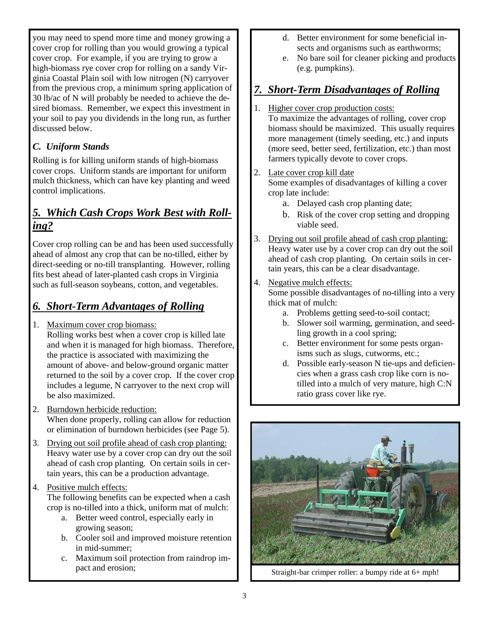you may need to spend more time and money growing a cover crop for rolling than you would growing a typical cover crop. For example, if you are trying to grow a high-biomass rye cover crop for rolling on a sandy Virginia Coastal Plain soil with low nitrogen (N) carryover from the previous crop, a minimum spring application of 30 lb/ac of N will probably be needed to achieve the desired biomass. Remember, we expect this investment in your soil to pay you dividends in the long run, as further discussed below.

#### *C. Uniform Stands*

Rolling is for killing uniform stands of high-biomass cover crops. Uniform stands are important for uniform mulch thickness, which can have key planting and weed control implications.

#### *5. Which Cash Crops Work Best with Rolling?*

Cover crop rolling can be and has been used successfully ahead of almost any crop that can be no-tilled, either by direct-seeding or no-till transplanting. However, rolling fits best ahead of later-planted cash crops in Virginia such as full-season soybeans, cotton, and vegetables.

### *6. Short-Term Advantages of Rolling*

1. Maximum cover crop biomass: Rolling works best when a cover crop is killed late and when it is managed for high biomass. Therefore, the practice is associated with maximizing the amount of above- and below-ground organic matter

returned to the soil by a cover crop. If the cover crop includes a legume, N carryover to the next crop will be also maximized.

- 2. Burndown herbicide reduction: When done properly, rolling can allow for reduction or elimination of burndown herbicides (see Page 5).
- 3. Drying out soil profile ahead of cash crop planting: Heavy water use by a cover crop can dry out the soil ahead of cash crop planting. On certain soils in certain years, this can be a production advantage.

#### 4. Positive mulch effects:

The following benefits can be expected when a cash crop is no-tilled into a thick, uniform mat of mulch:

- a. Better weed control, especially early in growing season;
- b. Cooler soil and improved moisture retention in mid-summer;
- c. Maximum soil protection from raindrop impact and erosion;
- d. Better environment for some beneficial insects and organisms such as earthworms;
- e. No bare soil for cleaner picking and products (e.g. pumpkins).

#### *7. Short-Term Disadvantages of Rolling*

- 1. Higher cover crop production costs:
	- To maximize the advantages of rolling, cover crop biomass should be maximized. This usually requires more management (timely seeding, etc.) and inputs (more seed, better seed, fertilization, etc.) than most farmers typically devote to cover crops.

### 2. Late cover crop kill date

Some examples of disadvantages of killing a cover crop late include:

- a. Delayed cash crop planting date;
- b. Risk of the cover crop setting and dropping viable seed.
- 3. Drying out soil profile ahead of cash crop planting: Heavy water use by a cover crop can dry out the soil ahead of cash crop planting. On certain soils in certain years, this can be a clear disadvantage.

#### 4. Negative mulch effects:

Some possible disadvantages of no-tilling into a very thick mat of mulch:

- a. Problems getting seed-to-soil contact;
- b. Slower soil warming, germination, and seedling growth in a cool spring;
- c. Better environment for some pests organisms such as slugs, cutworms, etc.;
- d. Possible early-season N tie-ups and deficiencies when a grass cash crop like corn is notilled into a mulch of very mature, high C:N ratio grass cover like rye.



Straight-bar crimper roller: a bumpy ride at 6+ mph!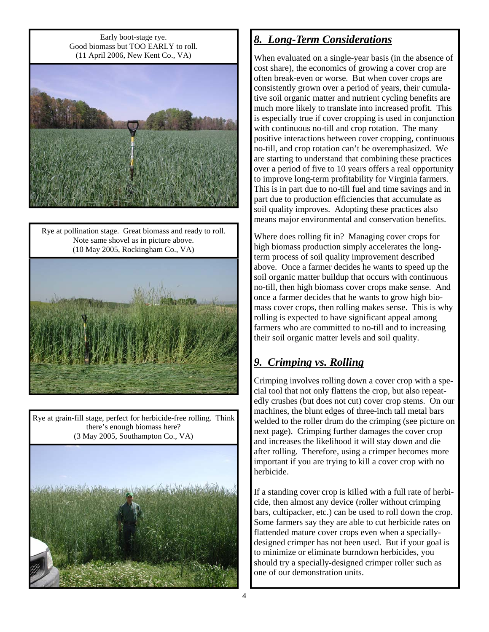Early boot-stage rye. Good biomass but TOO EARLY to roll. (11 April 2006, New Kent Co., VA)



Rye at pollination stage. Great biomass and ready to roll. Note same shovel as in picture above. (10 May 2005, Rockingham Co., VA)



Rye at grain-fill stage, perfect for herbicide-free rolling. Think there's enough biomass here? (3 May 2005, Southampton Co., VA)



### *8. Long-Term Considerations*

When evaluated on a single-year basis (in the absence of cost share), the economics of growing a cover crop are often break-even or worse. But when cover crops are consistently grown over a period of years, their cumulative soil organic matter and nutrient cycling benefits are much more likely to translate into increased profit. This is especially true if cover cropping is used in conjunction with continuous no-till and crop rotation. The many positive interactions between cover cropping, continuous no-till, and crop rotation can't be overemphasized. We are starting to understand that combining these practices over a period of five to 10 years offers a real opportunity to improve long-term profitability for Virginia farmers. This is in part due to no-till fuel and time savings and in part due to production efficiencies that accumulate as soil quality improves. Adopting these practices also means major environmental and conservation benefits.

Where does rolling fit in? Managing cover crops for high biomass production simply accelerates the longterm process of soil quality improvement described above. Once a farmer decides he wants to speed up the soil organic matter buildup that occurs with continuous no-till, then high biomass cover crops make sense. And once a farmer decides that he wants to grow high biomass cover crops, then rolling makes sense. This is why rolling is expected to have significant appeal among farmers who are committed to no-till and to increasing their soil organic matter levels and soil quality.

# *9. Crimping vs. Rolling*

Crimping involves rolling down a cover crop with a special tool that not only flattens the crop, but also repeatedly crushes (but does not cut) cover crop stems. On our machines, the blunt edges of three-inch tall metal bars welded to the roller drum do the crimping (see picture on next page). Crimping further damages the cover crop and increases the likelihood it will stay down and die after rolling. Therefore, using a crimper becomes more important if you are trying to kill a cover crop with no herbicide.

If a standing cover crop is killed with a full rate of herbicide, then almost any device (roller without crimping bars, cultipacker, etc.) can be used to roll down the crop. Some farmers say they are able to cut herbicide rates on flattended mature cover crops even when a speciallydesigned crimper has not been used. But if your goal is to minimize or eliminate burndown herbicides, you should try a specially-designed crimper roller such as one of our demonstration units.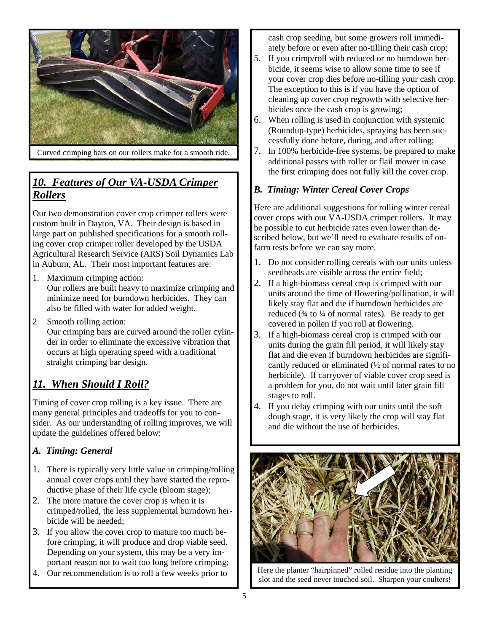

Curved crimping bars on our rollers make for a smooth ride.

### *10. Features of Our VA-USDA Crimper Rollers*

Our two demonstration cover crop crimper rollers were custom built in Dayton, VA. Their design is based in large part on published specifications for a smooth rolling cover crop crimper roller developed by the USDA Agricultural Research Service (ARS) Soil Dynamics Lab in Auburn, AL. Their most important features are:

- 1. Maximum crimping action: Our rollers are built heavy to maximize crimping and minimize need for burndown herbicides. They can also be filled with water for added weight.
- 2. Smooth rolling action: Our crimping bars are curved around the roller cylinder in order to eliminate the excessive vibration that occurs at high operating speed with a traditional straight crimping bar design.

#### *11. When Should I Roll?*

Timing of cover crop rolling is a key issue. There are many general principles and tradeoffs for you to consider. As our understanding of rolling improves, we will update the guidelines offered below:

#### *A. Timing: General*

- 1. There is typically very little value in crimping/rolling annual cover crops until they have started the reproductive phase of their life cycle (bloom stage);
- 2. The more mature the cover crop is when it is crimped/rolled, the less supplemental burndown herbicide will be needed;
- 3. If you allow the cover crop to mature too much before crimping, it will produce and drop viable seed. Depending on your system, this may be a very important reason not to wait too long before crimping;
- 4. Our recommendation is to roll a few weeks prior to

cash crop seeding, but some growers roll immediately before or even after no-tilling their cash crop;

- 5. If you crimp/roll with reduced or no burndown herbicide, it seems wise to allow some time to see if your cover crop dies before no-tilling your cash crop. The exception to this is if you have the option of cleaning up cover crop regrowth with selective herbicides once the cash crop is growing;
- 6. When rolling is used in conjunction with systemic (Roundup-type) herbicides, spraying has been successfully done before, during, and after rolling;
- 7. In 100% herbicide-free systems, be prepared to make additional passes with roller or flail mower in case the first crimping does not fully kill the cover crop.

#### *B. Timing: Winter Cereal Cover Crops*

Here are additional suggestions for rolling winter cereal cover crops with our VA-USDA crimper rollers. It may be possible to cut herbicide rates even lower than described below, but we'll need to evaluate results of onfarm tests before we can say more.

- 1. Do not consider rolling cereals with our units unless seedheads are visible across the entire field;
- 2. If a high-biomass cereal crop is crimped with our units around the time of flowering/pollination, it will likely stay flat and die if burndown herbicides are reduced  $(\frac{3}{4}$  to  $\frac{1}{4}$  of normal rates). Be ready to get covered in pollen if you roll at flowering.
- 3. If a high-biomass cereal crop is crimped with our units during the grain fill period, it will likely stay flat and die even if burndown herbicides are significantly reduced or eliminated (½ of normal rates to no herbicide). If carryover of viable cover crop seed is a problem for you, do not wait until later grain fill stages to roll.
- 4. If you delay crimping with our units until the soft dough stage, it is very likely the crop will stay flat and die without the use of herbicides.



Here the planter "hairpinned" rolled residue into the planting slot and the seed never touched soil. Sharpen your coulters!